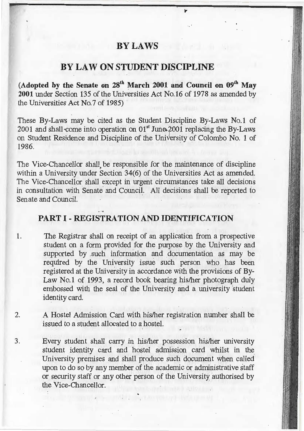## **BYLAWS**

# **BYLAW ON STUDENT DISCIPLINE**

**(Adopted by the Senate on 28th March 2001 and Council on 09th May**  2001 under Section 135 of the Universities Act No.16 of 1978 as amended by lhe Universities Act No.7 of 1985)

These By-Laws may be cited as the Student Discipline By-Laws No. I of 2001 and shall come into operation on  $01<sup>st</sup>$  June 2001 replacing the By-Laws on Student Residence and Discipline of the University of Colombo No. 1 of 1986.

The Vice-Chancellor shall be responsible for the maintenance of discipline within a University under Section 34(6) of the Universities Act as amended. The Vice-Chancellor shall except in urgent circumstances take all decisions in consultation with Senate and Council. All decisions shall be reported to Senate and Council.

### **PART I - REGISTRATION AND IDENTIFICATION**

1. The Registrar shall on receipt of an application from a prospective student on a form provided for the purpose by the University and supported by .such information and documentation as may be required by the University issue such person who has been registered at the University in accordance with the provisions of By-Law No.1 of 1993, a record book bearing his/her photograph duly embossed with the seal of the University and a university student identity card.

- 2. A Hostel Admission Card with his/her registration number shall be issued to a student allocated to a hostel.
- 3. Every student shall carry in his/her possession his/her university student identity card and hostel admission card whilst in the University premises and shall produce such document when called upon to do so by any member of the academic or administrative staff or security staff or any other person of the University authorised by the Vice-Chancellor.

-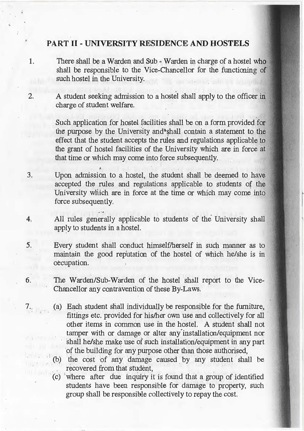## **PART** II - **UNIVERSITY RESIDENCE AND HOSTELS**

- 1. There shall be a Warden and Sub Warden in charge of a hostel who shall be responsible to the Vice-Chancellor for the functioning of such hostel in the University.
- 2. A student seeking admission to a hostel shall apply to the officer in: charge of student welfare.

Such application for hostel facilities shall be on a form provided for the purpose by the University and<sup>®</sup>shall contain a statement to the effect that the student accepts the rules and regulations applicable to the grant of hostel facilities of the University which are in force at that time or which may come into force subsequently.

- 3. Upon admission to a hostel, the student shall be deemed to have accepted the rules and regulations applicable to students of the University which are in force at the time or which may come into force subsequently.
- 4. All rules generally applicable to students of the University shall apply to students in a hostel.
- 5. Every student shall conduct himself/herself in such manner as to maintain the good reputation of the hostel of which he/she is in occupation.
- 6. The Warden/Sub-Warden of the hostel shall report to the Vice-Chancellor any contravention of these By-Laws.
- 7. (a) Each student shall individually be responsible for the furniture, fittings etc. provided for his/her own use and collectively for all other items in common use in the hostel. A student shall not tamper with or damage or alter any· installation/equipment nor shall he/she make use of such installation/equipment in any part of the building for any purpose other than those authorised,
	- (b) the cost of any damage caused by any student shall be recovered from that student,
	- . (c) 'where after due inquiry it is found that a group of identified students have been responsible for damage to property, such group shall be responsible collectively to repay the cost.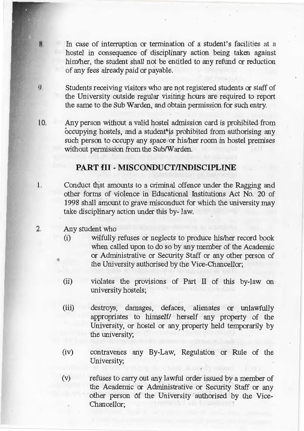- In case of interruption or termination of a student's facilities at a hostel in consequence of disciplinary action being taken against him/her, the student shall not be entitled to any refund or reduction of any fees already paid or payable.
- $\mathbf{Q}_1$ Students receiving visitors who are not registered students or staff of the University outside regular visiting hours are required to report the same to the Sub Warden, and obtain permission for such entry.
- 10. Any person without a valid hostel admission card is prohibited from occupying hostels, and a student<sup>\*</sup> is prohibited from authorising any such person to occupy any space or his/her room in hostel premises without permission from the Sub/Warden.

### **PART III - MISCONDUCT/INDISCIPLINE**

- 1. Conduct that amounts to a criminal offence under the Ragging and other forms of violence in Educational Institutions Act No. 20 of 1998 shall amount to grave misconduct for which the university may take disciplinary action under this by- law.
	- Any student who

 $\left| \begin{matrix} 1 \\ 1 \\ 2 \end{matrix} \right|$ 

 $\overline{2}$ .

- (i) wilfully refuses or neglects to produce his/her record book when called upon to do so by any member of the Academic or Administrative or Security Staff or any other person of the University authorised by the Vice-Chancellor;
- (ii) violates the provisions of Part II of this by-law on university hostels;
- (iii) destroys, damages, defaces, alienates or unlawfully appropriates to himself/ herself any property of the University, or hostel or any property held temporarily by the university;
- (iv) contravenes any By-Law, Regulation or Rule of the University;
- (v) · refuses to carry out any lawful order issued by a member of the Academic or Administrative or Security Staff or any other person of the University authorised by the Vice-**Chancellor**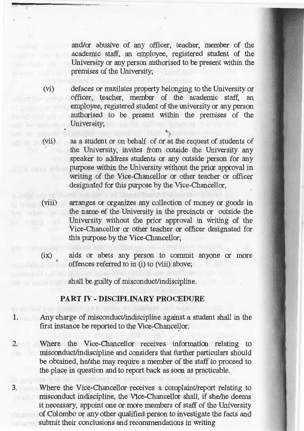and/or abusive of any officer, teacher, member of the academic staff, an employee, registered student of the University or any person authorised to be present within the premises of the University;

·- - - - -- '

 $(1x)$ 

The Arthur Heart C

**Mr. Mr.** 

uib la seizma

(vi) defaces or mutilates property belon\_ging to the University or officer, teacher, member of the academic staff, an employee, registered student of the university or any person authorised to be present within the premises of the University;

> **a.**   $\gamma$

(vii) as a student or on behalf of or at the request of students of the University, invites from outside the University any speaker to address students or any outside person for any purpose within the University without the prior approval in writing of the Vice-Chancellor or other teacher or officer designated for this purpose by the Vice-Chancellor,

(viii) arranges or organizes any collection of money or goods in the name• ef the University in the precincts or outside the  $\sim$  1  $\sim$  1 University without the prior approval in writing of the Vice-Chancellor or other teacher or officer designated for this purpose by the Vice-Chancellor;

> aids or abets any person to commit anyone or more offences referred to in (i) to (viii) above;

shall be guilty of misconduct/indiscipline.

#### **PART** IV - **DISCIPLINARY PROCEDURE**

- **1.** Any charge of misconduct/indiscipline against a student shall in the first instance be reported to the Vice-Chancellor. . .
- 2. Where the Vice-Chancellor receives information · relating to misconduct/indiscipline and considers that further particulars should be obtained, he/she may require a member of the staff to proceed to the place in question and to report back as soon as practicable.
- 3. Where the Vice-Chancellor receives a complaint/report relating to misconduct indiscipline, the V1ce-Chancellor shall, if she/he deems it necessary, appoint one or more members of staff of the University of Colombo or any other qualified person to investigate the facts and submit their conclusions and recommendations in writing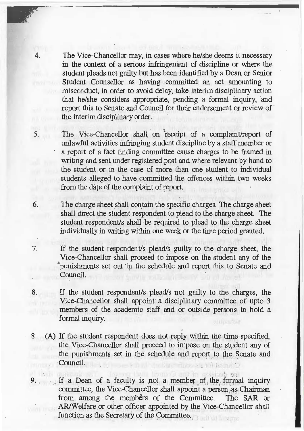4. The Vice-Chancellor may, in cases where he/she deems it necessary in the context of a serious infringement of discipline or where the student pleads not guilty but has been identified by a Dean or Senior Student Counsellor as having committed an act amounting to misconduct, in order to avoid delay, take interim disciplinary action that he/she considers appropriate, pending a formal inquiry, and report this to Senate and Council for their endorsement or review of the interim disciplinary order.

5. The Vice-Chancellor shall on receipt of a complaint/report of unlawful activities infringing student discipline by a staff member or a report of a fact finding committee cause charges to be framed in writing and sent under registered post and where relevant by hand to the student or in the case of more than one student to individual students alleged to have committed the offences within two weeks from the date of the complaint of report.

6. The charge sheet shall contain the specific charges. The charge sheet shall direct the student respondent to plead to the charge sheet. The student respondent/s shall be required to plead to the charge sheet individually in writing within one week or the time period granted.

7. If the student respondent/s plead/s guilty to the charge sheet, the Vice-Chancellor shall proceed to impose on the student any of the "'punishments set out "in the schedule and report this to Senate and Council.

8. If the student respondent/s plead/s not guilty to the charges, the Vice-Chancellor shall appoint a disciplinary committee of upto 3 members of the academic staff and or outside persons to hold a formal inquiry.

8 (A) If the student respondent does not reply within the time\_ specified, the Vice-Chancellor shall proceed to impose on the student any of the punishments set in the schedule and report to the Senate and Council. will from an D

 $\mathcal{L} = \mathcal{L} \cup \mathcal{L} = \mathcal{L} \cup \mathcal{L} \cup \mathcal{L}$ If a Dean of a faculty is not a member of, the formal inquiry committee, the Vice-Chancellor shall appoint a person as Chairman from among the members of the Committee. The SAR or AR/Welfare or other officer appointed by the Vice-Chancellor shall function as the Secretary of the Committee.

 $\mathbf{v}$   $\mathbf{v}$   $\mathbf{v}$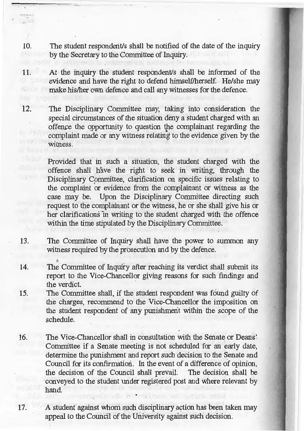10. The student responderit's shall be notified of the date of the inquiry by the Secretary to the Committee of Inquiry.

11. At the ihquiry the student respondent/s shall be informed of the evidence and have the right to defend himself/herself. He/she may make his/her own defence and call any witnesses for the defence.

12. The Disciplinary Committee may, taking into consideration the special circumstances of the situation deny a student charged with an offence the opportunity to question the complainant regarding the complaint made or any witness relating to the evidence given by the witness.

> Provided that in such a situation, the student charged with the offence shall have the right to seek in writing; through the Disciplinary Committee, clarification on specific issues relating to the complaint or evidence from the complainant or witness as the case may be. Upon the Disciplinary Committee directing such request to the complainant or the witness, he or she shall give his or her clarifications in writing to the student charged with the offence within the time stipulated by the Disciplinary Committee.

13. The Committee of Inquiry shall nave the power to summon any witness required by the prosecution and by the defence.

 $\Delta$ 

- 14. The Committee of Inquiry after reaching its verdict shall submit its report to the Vice-Chancellor giving reasons for such findings and the verdict.
- 15. The Committee shall, if the student respondent was found guilty of the charges, recommend to the Vice-Chancellor the imposition on the student respondent of any punishment within the scope of the schedule.
- 16. The Vice-Chancellor shall in consultation with the Senate or Deans' Committee if a Senate meeting is not scheduled for an early date, determine the punishment and report such decision to the Senate and Council for its confirmation. In the event of a difference of opinion, the decision of the Council shall prevail. The decision shall be ·conveyed to the student under registered post and where relevant by hand. . . ..

17. A student against whom such disciplinary action has been taken may appeal to the Council of the University against such decision.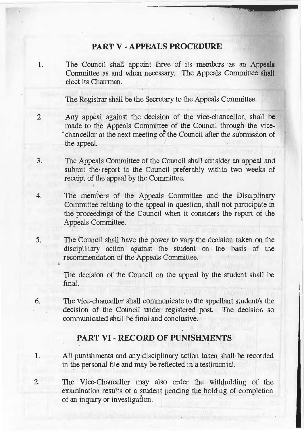## **PART V - APPEALS PROCEDURE**

1. The Council shall appoint three of its members as an Appeals Committee as and when necessary. The Appeals Committee shal1 elect its Chairman.

The Registrar shall be the Secretary to the Appeals Committee.

- 2. Any appeal against the decision of the vice-chancellor, shall be made to the Appeals Committee of the Council through the vicechancellor at the next meeting of the Council after the submission of the appeal.
- 3. The Appeals Committee of the Council shall consider an appeal and submit the report to the Council preferably within two weeks of receipt of the appeal by the Committee.
- 4. The members of the Appeals Committee and the Disciplinary Committee relating to the appeal in question, shall not participate in the proceedings of the Council when it considers the report of the Appeals Committee.
- 5. The Council shall have the power to vary the decision taken on the disciplinary action against the student on the basis of the recommendation of the Appeals Committee.

The decision of the Council on the appeal by the student shall be final. The contract of the contract of the contract of the contract of the contract of the contract of the contract of the contract of the contract of the contract of the contract of the contract of the contract of the con

6. The vice-chancellor shall communicate to the appellant student/s the decision of the Council under registered post. The decision so communicated shall be final and conclusive.

## **PART VI** - **RECORD OF PUNISHMENTS**

- 1. All punishments and any disciplinary action taken shall be recorded in the personal file and may be reflected in a tesiimonial.
- 2. The Vice-Chancellor may also order the Withholding of the examination results of a student pending the holding of completion of an inquiry or investigation.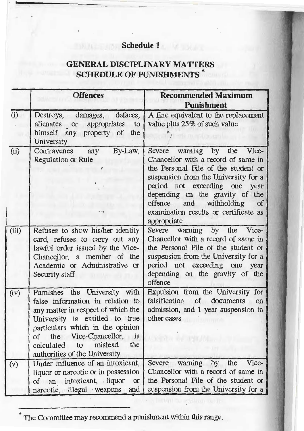# **Schedule 1**

# **GENERAL DISCIPLINARY MATTERS SCHEDULE OF PUNISHMENTS** \*

Ii i. II

|       | <b>Offences</b>                                                                                                                                                                                                                                                                                                  | <b>Recommended Maximum</b><br><b>Punishment</b>                                                                                                                                                                                                                                                                                 |
|-------|------------------------------------------------------------------------------------------------------------------------------------------------------------------------------------------------------------------------------------------------------------------------------------------------------------------|---------------------------------------------------------------------------------------------------------------------------------------------------------------------------------------------------------------------------------------------------------------------------------------------------------------------------------|
| (i)   | Destroys, damages, defaces,<br>alienates or appropriates<br>to<br>himself any property of<br>the<br>University                                                                                                                                                                                                   | A fine equivalent to the replacement<br>value plus 25% of such value                                                                                                                                                                                                                                                            |
| (ii)  | By-Law,<br>Contravenes any<br>Regulation or Rule                                                                                                                                                                                                                                                                 | Severe<br>warning by the Vice-<br>Chancellor with a record of same in<br>the Personal File of the student or<br>suspension from the University for a<br>period not exceeding one year<br>depending on the gravity of the<br>and withholding<br>offence<br><sub>of</sub><br>examination results or certificate as<br>appropriate |
| (iii) | Refuses to show his/her identity<br>card, refuses to carry out any<br>lawful order issued by the Vice-<br>Chancellor, a member of the<br>Academic or Administrative or<br>Security staff                                                                                                                         | Severe warning by the Vice-<br>Chancellor with a record of same in<br>the Personal File of the student or<br>suspension from the University for a<br>period not exceeding one year<br>depending on the gravity of the<br>offence                                                                                                |
| (iv)  | Furnishes the University with<br>false information in relation to<br>any matter in respect of which the<br>University is entitled to true<br>particulars which in the opinion<br>of the Vice-Chancellor,<br>$\overline{\text{1}}\text{s}$<br>mislead<br>the<br>calculated<br>to<br>authorities of the University | Expulsion from the University for<br>falsification of documents<br>on<br>admission, and 1 year suspension in<br>other cases<br>Ready for the HOLD                                                                                                                                                                               |
| (v)   | Under influence of an intoxicant,<br>liquor or narcotic or in possession<br>of an intoxicant, liquor<br>or<br>narcotic, illegal weapons<br>and                                                                                                                                                                   | warning by the<br>Vice-<br>Severe<br>Chancellor with a record of same in<br>the Personal File of the student or<br>suspension from the University for a                                                                                                                                                                         |

\* The Committee may recommend a punishment within this range.

 $\mathcal{L} = \{ \mathcal{L}_1, \mathcal{L}_2, \ldots, \mathcal{L}_n \} \subset \mathcal{L}_n$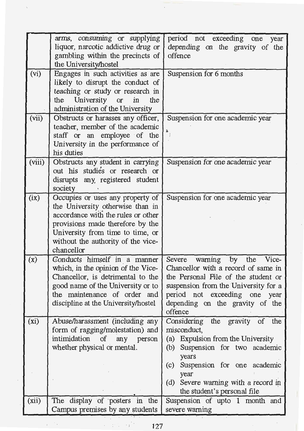|        | arms, consuming or supplying<br>liquor, narcotic addictive drug or<br>gambling within the precincts of                                                                                                                                 | period not exceeding one<br>year<br>depending on the gravity of the<br>offence                                                                                                                                                   |  |
|--------|----------------------------------------------------------------------------------------------------------------------------------------------------------------------------------------------------------------------------------------|----------------------------------------------------------------------------------------------------------------------------------------------------------------------------------------------------------------------------------|--|
|        | the University/hostel                                                                                                                                                                                                                  |                                                                                                                                                                                                                                  |  |
| (vi)   | Engages in such activities as are<br>likely to disrupt the conduct of<br>teaching or study or research in<br>the University or in<br>the<br>administration of the University                                                           | Suspension for 6 months                                                                                                                                                                                                          |  |
| (vii)  | Obstructs or harasses any officer,<br>teacher, member of the academic<br>staff or an employee of the<br>University in the performance of<br>his duties                                                                                 | Suspension for one academic year<br>亀                                                                                                                                                                                            |  |
| (viii) | Obstructs any student in carrying<br>out his studies or research or<br>disrupts any, registered student<br>society                                                                                                                     | Suspension for one academic year                                                                                                                                                                                                 |  |
| (ix)   | Occupies or uses any property of<br>the University otherwise than in<br>accordance with the rules or other<br>provisions made therefore by the<br>University from time to time, or<br>without the authority of the vice-<br>chancellor | Suspension for one academic year                                                                                                                                                                                                 |  |
| (x)    | Conducts himself in a manner<br>which, in the opinion of the Vice-<br>Chancellor, is detrimental to the<br>good name of the University or to<br>the maintenance of order and<br>discipline at the University/hostel                    | Severe warning by the Vice-<br>Chancellor with a record of same in<br>the Personal File of the student or<br>suspension from the University for a<br>period not exceeding one year<br>depending on the gravity of the<br>offence |  |
| (xi)   | Abuse/harassment (including any<br>form of ragging/molestation) and<br>intimidation of any person<br>whether physical or mental.                                                                                                       | Considering the gravity of the<br>misconduct,<br>(a) Expulsion from the University<br>Suspension for two academic<br>(b)<br>years<br>Suspension for one academic<br>(c)                                                          |  |
|        |                                                                                                                                                                                                                                        | year<br>(d) Severe warning with a record in<br>the student's personal file                                                                                                                                                       |  |
| (xii)  | The display of posters in the<br>Campus premises by any students                                                                                                                                                                       | Suspension of upto 1 month and<br>severe warning                                                                                                                                                                                 |  |
|        | komunisti kalif<br>127                                                                                                                                                                                                                 |                                                                                                                                                                                                                                  |  |

 $\frac{1}{2}$ 

 $\hat{\mathcal{N}}$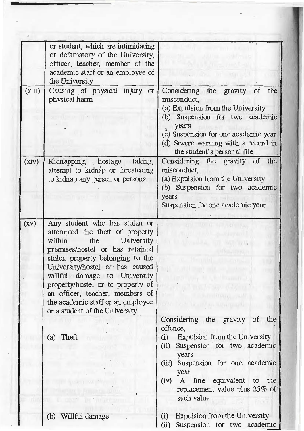|        | or student, which are intimidating<br>or defamatory of the University,<br>officer, teacher, member of the<br>academic staff or an employee of<br>the University                                                                                                                                                                                                                                       |                                                                                                                                                                                                                                                                                                 |
|--------|-------------------------------------------------------------------------------------------------------------------------------------------------------------------------------------------------------------------------------------------------------------------------------------------------------------------------------------------------------------------------------------------------------|-------------------------------------------------------------------------------------------------------------------------------------------------------------------------------------------------------------------------------------------------------------------------------------------------|
| (xiii) | Causing of physical injury<br>or<br>physical harm                                                                                                                                                                                                                                                                                                                                                     | Considering the gravity of the<br>misconduct,<br>(a) Expulsion from the University<br>(b) Suspension for two academic<br>years<br>(c) Suspension for one academic year<br>(d) Severe warning with a record in<br>the student's personal file                                                    |
| (xiv)  | Kidnapping, hostage taking,<br>attempt to kidnáp or threatening<br>to kidnap any person or persons                                                                                                                                                                                                                                                                                                    | Considering the gravity of the<br>misconduct,<br>(a) Expulsion from the University<br>(b) Suspension for two academic<br>years<br>Suspension for one academic year                                                                                                                              |
| (XV)   | Any student who has stolen or<br>attempted the theft of property<br>the<br>University<br>within<br>premises/hostel or has retained<br>stolen property belonging to the<br>University/hostel or has caused<br>willful damage to University<br>property/hostel or to property of<br>an officer, teacher, members of<br>the academic staff or an employee<br>or a student of the University<br>(a) Theft | Considering the gravity<br><sub>of</sub><br>the<br>offence,<br>Expulsion from the University<br>(i)<br>Suspension for two academic<br>(ii)<br>years<br>Suspension for one academic<br>(iii)<br>year<br>fine equivalent<br>to<br>the<br>(iv)<br>A<br>replacement value plus 25% of<br>such value |
|        | (b) Willful damage                                                                                                                                                                                                                                                                                                                                                                                    | Expulsion from the University<br>(i)<br>(ii)<br>Suspension for two academic                                                                                                                                                                                                                     |